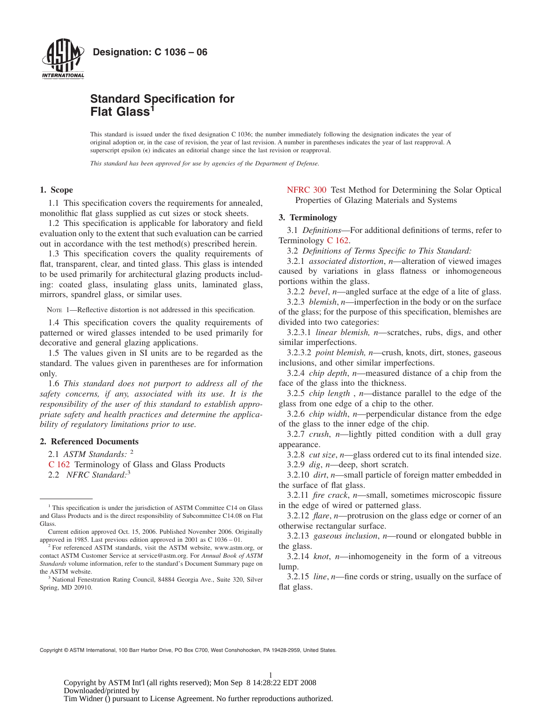

# **Standard Specification for Flat Glass<sup>1</sup>**

This standard is issued under the fixed designation C 1036; the number immediately following the designation indicates the year of original adoption or, in the case of revision, the year of last revision. A number in parentheses indicates the year of last reapproval. A superscript epsilon  $(\epsilon)$  indicates an editorial change since the last revision or reapproval.

*This standard has been approved for use by agencies of the Department of Defense.*

# **1. Scope**

1.1 This specification covers the requirements for annealed, monolithic flat glass supplied as cut sizes or stock sheets.

1.2 This specification is applicable for laboratory and field evaluation only to the extent that such evaluation can be carried out in accordance with the test method(s) prescribed herein.

1.3 This specification covers the quality requirements of flat, transparent, clear, and tinted glass. This glass is intended to be used primarily for architectural glazing products including: coated glass, insulating glass units, laminated glass, mirrors, spandrel glass, or similar uses.

NOTE 1—Reflective distortion is not addressed in this specification.

1.4 This specification covers the quality requirements of patterned or wired glasses intended to be used primarily for decorative and general glazing applications.

1.5 The values given in SI units are to be regarded as the standard. The values given in parentheses are for information only.

1.6 *This standard does not purport to address all of the safety concerns, if any, associated with its use. It is the responsibility of the user of this standard to establish appropriate safety and health practices and determine the applicability of regulatory limitations prior to use.*

# **2. Referenced Documents**

2.1 *ASTM Standards:* <sup>2</sup>

- [C 162](#page-0-0) Terminology of Glass and Glass Products
- 2.2 *NFRC Standard:*<sup>3</sup>

<span id="page-0-2"></span>[NFRC 300](#page-6-0) Test Method for Determining the Solar Optical Properties of Glazing Materials and Systems

## **3. Terminology**

<span id="page-0-0"></span>3.1 *Definitions*—For additional definitions of terms, refer to Terminology [C 162.](#page-0-1)

3.2 *Definitions of Terms Specific to This Standard:*

3.2.1 *associated distortion*, *n*—alteration of viewed images caused by variations in glass flatness or inhomogeneous portions within the glass.

3.2.2 *bevel*, *n*—angled surface at the edge of a lite of glass.

3.2.3 *blemish*, *n*—imperfection in the body or on the surface of the glass; for the purpose of this specification, blemishes are divided into two categories:

3.2.3.1 *linear blemish, n*—scratches, rubs, digs, and other similar imperfections.

3.2.3.2 *point blemish, n*—crush, knots, dirt, stones, gaseous inclusions, and other similar imperfections.

3.2.4 *chip depth*, *n*—measured distance of a chip from the face of the glass into the thickness.

3.2.5 *chip length* , *n*—distance parallel to the edge of the glass from one edge of a chip to the other.

3.2.6 *chip width*, *n*—perpendicular distance from the edge of the glass to the inner edge of the chip.

3.2.7 *crush*, *n*—lightly pitted condition with a dull gray appearance.

<span id="page-0-1"></span>3.2.8 *cut size*, *n*—glass ordered cut to its final intended size. 3.2.9 *dig*, *n*—deep, short scratch.

3.2.10 *dirt*, *n*—small particle of foreign matter embedded in the surface of flat glass.

3.2.11 *fire crack*, *n*—small, sometimes microscopic fissure in the edge of wired or patterned glass.

3.2.12 *flare*, *n*—protrusion on the glass edge or corner of an otherwise rectangular surface.

3.2.13 *gaseous inclusion*, *n*—round or elongated bubble in the glass.

3.2.14 *knot*, *n*—inhomogeneity in the form of a vitreous lump.

3.2.15 *line*, *n*—fine cords or string, usually on the surface of flat glass.

Copyright © ASTM International, 100 Barr Harbor Drive, PO Box C700, West Conshohocken, PA 19428-2959, United States.

<sup>&</sup>lt;sup>1</sup> This specification is under the jurisdiction of ASTM Committee C14 on Glass and Glass Products and is the direct responsibility of Subcommittee C14.08 on Flat Glass.

Current edition approved Oct. 15, 2006. Published November 2006. Originally approved in 1985. Last previous edition approved in 2001 as C 1036 – 01.

<sup>&</sup>lt;sup>2</sup> For referenced ASTM standards, visit the ASTM website, www.astm.org, or contact ASTM Customer Service at service@astm.org. For *Annual Book of ASTM Standards* volume information, refer to the standard's Document Summary page on the ASTM website.

<sup>&</sup>lt;sup>3</sup> National Fenestration Rating Council, 84884 Georgia Ave., Suite 320, Silver Spring, MD 20910.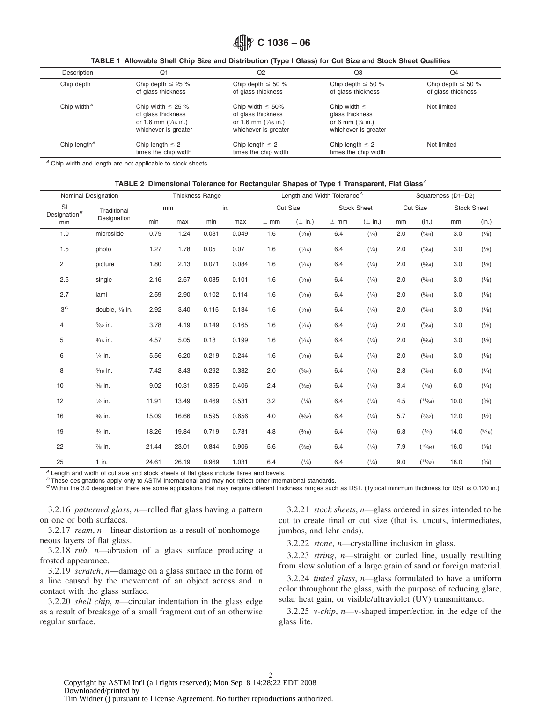<span id="page-1-1"></span><span id="page-1-0"></span>

### **TABLE 1 Allowable Shell Chip Size and Distribution (Type I Glass) for Cut Size and Stock Sheet Qualities**

| Description                           | Q1                                                                                                     | Q2                                                                                                     | Q3                                                                                  | Q <sub>4</sub>                                |
|---------------------------------------|--------------------------------------------------------------------------------------------------------|--------------------------------------------------------------------------------------------------------|-------------------------------------------------------------------------------------|-----------------------------------------------|
| Chip depth                            | Chip depth $\leq$ 25 %<br>of glass thickness                                                           | Chip depth $\leq 50$ %<br>of glass thickness                                                           | Chip depth $\leq 50$ %<br>of glass thickness                                        | Chip depth $\leq 50 \%$<br>of glass thickness |
| Chip width <sup><math>A</math></sup>  | Chip width $\leq$ 25 %<br>of glass thickness<br>or 1.6 mm $(\frac{1}{16}$ in.)<br>whichever is greater | Chip width $\leq 50\%$<br>of glass thickness<br>or 1.6 mm $(\frac{1}{16}$ in.)<br>whichever is greater | Chip width $\leq$<br>glass thickness<br>or 6 mm $(1/4$ in.)<br>whichever is greater | Not limited                                   |
| Chip length <sup><math>A</math></sup> | Chip length $\leq 2$<br>times the chip width                                                           | Chip length $\leq 2$<br>times the chip width                                                           | Chip length $\leq 2$<br>times the chip width                                        | Not limited                                   |

*<sup>A</sup>* Chip width and length are not applicable to stock sheets.

#### **TABLE 2 Dimensional Tolerance for Rectangular Shapes of Type 1 Transparent, Flat Glass***<sup>A</sup>*

|                        | Nominal Designation |       |       | <b>Thickness Range</b> |       |        | Length and Width Tolerance <sup>A</sup> |        |             |          | Squareness (D1-D2) |                    |        |
|------------------------|---------------------|-------|-------|------------------------|-------|--------|-----------------------------------------|--------|-------------|----------|--------------------|--------------------|--------|
| SI                     | Traditional         |       | mm    |                        | in.   |        | Cut Size<br><b>Stock Sheet</b>          |        |             | Cut Size |                    | <b>Stock Sheet</b> |        |
| Designation $^B$<br>mm | Designation         | min   | max   | min                    | max   | $±$ mm | $(\pm$ in.)                             | $±$ mm | $(\pm$ in.) | mm       | (in.)              | mm                 | (in.)  |
| 1.0                    | microslide          | 0.79  | 1.24  | 0.031                  | 0.049 | 1.6    | (1/16)                                  | 6.4    | (1/4)       | 2.0      | (5/64)             | 3.0                | (1/8)  |
| 1.5                    | photo               | 1.27  | 1.78  | 0.05                   | 0.07  | 1.6    | (1/16)                                  | 6.4    | (1/4)       | 2.0      | (5/64)             | 3.0                | (1/8)  |
| $\overline{c}$         | picture             | 1.80  | 2.13  | 0.071                  | 0.084 | 1.6    | (1/16)                                  | 6.4    | (1/4)       | 2.0      | (5/64)             | 3.0                | (1/8)  |
| 2.5                    | single              | 2.16  | 2.57  | 0.085                  | 0.101 | 1.6    | (1/16)                                  | 6.4    | (1/4)       | 2.0      | (5/64)             | 3.0                | (1/8)  |
| 2.7                    | lami                | 2.59  | 2.90  | 0.102                  | 0.114 | 1.6    | (1/16)                                  | 6.4    | (1/4)       | 2.0      | (5/64)             | 3.0                | (1/8)  |
| $3^C$                  | double, 1/8 in.     | 2.92  | 3.40  | 0.115                  | 0.134 | 1.6    | (1/16)                                  | 6.4    | (1/4)       | 2.0      | (5/64)             | 3.0                | (1/8)  |
| 4                      | $\frac{5}{32}$ in.  | 3.78  | 4.19  | 0.149                  | 0.165 | 1.6    | (1/16)                                  | 6.4    | (1/4)       | 2.0      | (5/64)             | 3.0                | (1/8)  |
| 5                      | 3/16 in.            | 4.57  | 5.05  | 0.18                   | 0.199 | 1.6    | (1/16)                                  | 6.4    | (1/4)       | 2.0      | (5/64)             | 3.0                | (1/8)  |
| 6                      | $\frac{1}{4}$ in.   | 5.56  | 6.20  | 0.219                  | 0.244 | 1.6    | (1/16)                                  | 6.4    | (1/4)       | 2.0      | (5/64)             | 3.0                | (1/8)  |
| 8                      | $\frac{5}{16}$ in.  | 7.42  | 8.43  | 0.292                  | 0.332 | 2.0    | (5/64)                                  | 6.4    | (1/4)       | 2.8      | (7/64)             | 6.0                | (1/4)  |
| 10                     | $\frac{3}{8}$ in.   | 9.02  | 10.31 | 0.355                  | 0.406 | 2.4    | (3/32)                                  | 6.4    | (1/4)       | 3.4      | (1/8)              | 6.0                | (1/4)  |
| 12                     | $\frac{1}{2}$ in.   | 11.91 | 13.49 | 0.469                  | 0.531 | 3.2    | (1/8)                                   | 6.4    | (1/4)       | 4.5      | (11/64)            | 10.0               | (3/8)  |
| 16                     | $\frac{5}{8}$ in.   | 15.09 | 16.66 | 0.595                  | 0.656 | 4.0    | (5/32)                                  | 6.4    | (1/4)       | 5.7      | (7/32)             | 12.0               | (1/2)  |
| 19                     | $\frac{3}{4}$ in.   | 18.26 | 19.84 | 0.719                  | 0.781 | 4.8    | (3/16)                                  | 6.4    | (1/4)       | 6.8      | (1/4)              | 14.0               | (9/16) |
| 22                     | $\frac{7}{8}$ in.   | 21.44 | 23.01 | 0.844                  | 0.906 | 5.6    | (7/32)                                  | 6.4    | (1/4)       | 7.9      | (19/64)            | 16.0               | (5/8)  |
| 25                     | $1$ in.             | 24.61 | 26.19 | 0.969                  | 1.031 | 6.4    | (1/4)                                   | 6.4    | (1/4)       | 9.0      | (11/32)            | 18.0               | (3/4)  |

*<sup>A</sup>* Length and width of cut size and stock sheets of flat glass include flares and bevels.

*<sup>B</sup>* These designations apply only to ASTM International and may not reflect other international standards.

*<sup>C</sup>* Within the 3.0 designation there are some applications that may require different thickness ranges such as DST. (Typical minimum thickness for DST is 0.120 in.)

3.2.16 *patterned glass*, *n*—rolled flat glass having a pattern on one or both surfaces.

3.2.17 *ream*, *n*—linear distortion as a result of nonhomogeneous layers of flat glass.

3.2.18 *rub*, *n*—abrasion of a glass surface producing a frosted appearance.

3.2.19 *scratch*, *n*—damage on a glass surface in the form of a line caused by the movement of an object across and in contact with the glass surface.

3.2.20 *shell chip*, *n*—circular indentation in the glass edge as a result of breakage of a small fragment out of an otherwise regular surface.

3.2.21 *stock sheets*, *n*—glass ordered in sizes intended to be cut to create final or cut size (that is, uncuts, intermediates, jumbos, and lehr ends).

3.2.22 *stone*, *n*—crystalline inclusion in glass.

3.2.23 *string*, *n*—straight or curled line, usually resulting from slow solution of a large grain of sand or foreign material.

3.2.24 *tinted glass*, *n*—glass formulated to have a uniform color throughout the glass, with the purpose of reducing glare, solar heat gain, or visible/ultraviolet (UV) transmittance.

3.2.25 *v-chip*, *n*—v-shaped imperfection in the edge of the glass lite.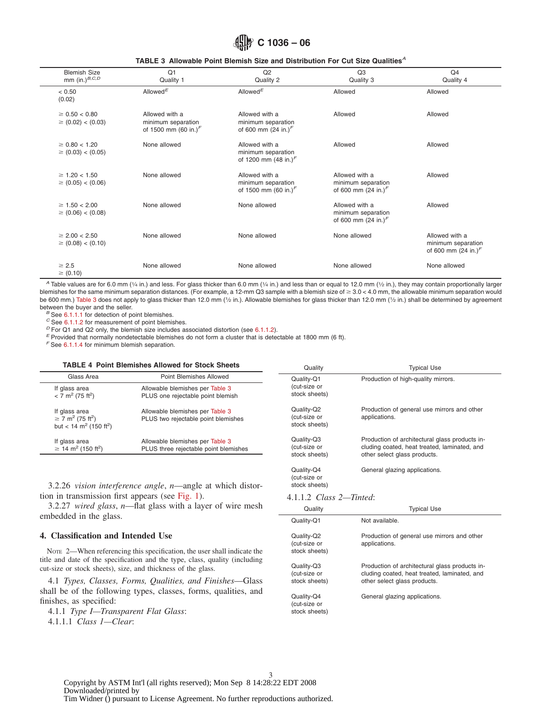# <span id="page-2-0"></span>**C 1036 – 06**

|  |  |  |  |  |  | TABLE 3 Allowable Point Blemish Size and Distribution For Cut Size Qualities <sup><math>A</math></sup> |  |  |  |  |  |
|--|--|--|--|--|--|--------------------------------------------------------------------------------------------------------|--|--|--|--|--|
|--|--|--|--|--|--|--------------------------------------------------------------------------------------------------------|--|--|--|--|--|

| <b>Blemish Size</b><br>mm $(in.)^{B,C,D}$    | Q1<br>Quality 1                                                  | Q <sub>2</sub><br>Quality 2                                             | Q3<br>Quality 3                                                        | Q <sub>4</sub><br>Quality 4                                            |
|----------------------------------------------|------------------------------------------------------------------|-------------------------------------------------------------------------|------------------------------------------------------------------------|------------------------------------------------------------------------|
| < 0.50<br>(0.02)                             | Allowed <sup>E</sup>                                             | Allowed <sup>E</sup>                                                    | Allowed                                                                | Allowed                                                                |
| $\geq 0.50 < 0.80$<br>$\geq$ (0.02) < (0.03) | Allowed with a<br>minimum separation<br>of 1500 mm (60 in.) $^F$ | Allowed with a<br>minimum separation<br>of 600 mm $(24 \text{ in.})^F$  | Allowed                                                                | Allowed                                                                |
| $\geq 0.80 < 1.20$<br>$\geq$ (0.03) < (0.05) | None allowed                                                     | Allowed with a<br>minimum separation<br>of 1200 mm $(48 \text{ in.})^F$ | Allowed                                                                | Allowed                                                                |
| $\geq 1.20 < 1.50$<br>$\geq$ (0.05) < (0.06) | None allowed                                                     | Allowed with a<br>minimum separation<br>of 1500 mm (60 in.) $\sqrt{ }$  | Allowed with a<br>minimum separation<br>of 600 mm $(24 \text{ in.})^F$ | Allowed                                                                |
| $\geq 1.50 < 2.00$<br>$\geq$ (0.06) < (0.08) | None allowed                                                     | None allowed                                                            | Allowed with a<br>minimum separation<br>of 600 mm $(24 \text{ in.})^F$ | Allowed                                                                |
| $\geq 2.00 < 2.50$<br>$\geq$ (0.08) < (0.10) | None allowed                                                     | None allowed                                                            | None allowed                                                           | Allowed with a<br>minimum separation<br>of 600 mm $(24 \text{ in.})^F$ |
| $\geq 2.5$<br>$\geq$ (0.10)                  | None allowed                                                     | None allowed                                                            | None allowed                                                           | None allowed                                                           |

*A* Table values are for 6.0 mm (1/4 in.) and less. For glass thicker than 6.0 mm (1/4 in.) and less than or equal to 12.0 mm (1/2 in.), they may contain proportionally larger blemishes for the same minimum separation distances. (For example, a 12-mm Q3 sample with a blemish size of  $\geq 3.0 < 4.0$  mm, the allowable minimum separation would be 600 mm.) [Table 3](#page-2-0) does not apply to glass thicker than 12.0 mm (1/2 in.). Allowable blemishes for glass thicker than 12.0 mm (1/2 in.) shall be determined by agreement between the buyer and the seller.

<sup>B</sup> See [6.1.1.1](#page-5-0) for detection of point blemishes.<br>
<sup>C</sup> See [6.1.1.2](#page-5-1) for measurement of point blemishes.<br>
<sup>D</sup> For Q1 and Q2 only, the blemish size includes associated distortion (see [6.1.1.2\)](#page-5-1).<br>
<sup>E</sup> Provided that normally no

*<sup>F</sup>* See [6.1.1.4](#page-5-2) for minimum blemish separation.

#### **TABLE 4 Point Blemishes Allowed for Stock Sheets**

|                                                                                                                  | <u>IADLE 4 FUIIILDICIIIISIICS AIIUWCU IUI JUULA JIICCIS</u>              | Quality                                     | Tvpical Use                                                                                                                    |  |  |
|------------------------------------------------------------------------------------------------------------------|--------------------------------------------------------------------------|---------------------------------------------|--------------------------------------------------------------------------------------------------------------------------------|--|--|
| Glass Area                                                                                                       | Point Blemishes Allowed                                                  | Quality-Q1                                  | Production of high-quality mirrors.                                                                                            |  |  |
| If glass area<br>$<$ 7 m <sup>2</sup> (75 ft <sup>2</sup> )                                                      | Allowable blemishes per Table 3<br>PLUS one rejectable point blemish     | (cut-size or<br>stock sheets)               |                                                                                                                                |  |  |
| If glass area<br>$\geq$ 7 m <sup>2</sup> (75 ft <sup>2</sup> )<br>but < 14 m <sup>2</sup> (150 ft <sup>2</sup> ) | Allowable blemishes per Table 3<br>PLUS two rejectable point blemishes   | Quality-Q2<br>(cut-size or<br>stock sheets) | Production of general use mirrors and other<br>applications.                                                                   |  |  |
| If glass area<br>$\geq$ 14 m <sup>2</sup> (150 ft <sup>2</sup> )                                                 | Allowable blemishes per Table 3<br>PLUS three rejectable point blemishes | Quality-Q3<br>(cut-size or<br>stock sheets) | Production of architectural glass products in-<br>cluding coated, heat treated, laminated, and<br>other select glass products. |  |  |

3.2.26 *vision interference angle*, *n*—angle at which distortion in transmission first appears (see [Fig. 1\)](#page-3-0).

3.2.27 *wired glass*, *n*—flat glass with a layer of wire mesh embedded in the glass.

# **4. Classification and Intended Use**

NOTE 2—When referencing this specification, the user shall indicate the title and date of the specification and the type, class, quality (including cut-size or stock sheets), size, and thickness of the glass.

4.1 *Types, Classes, Forms, Qualities, and Finishes*—Glass shall be of the following types, classes, forms, qualities, and finishes, as specified:

4.1.1 *Type I—Transparent Flat Glass*: 4.1.1.1 *Class 1—Clear*:

| <b>SLUUR SHEELS!</b>                        | <u>Utilet select glass products.</u>                                                                                           |
|---------------------------------------------|--------------------------------------------------------------------------------------------------------------------------------|
| Quality-Q4<br>(cut-size or<br>stock sheets) | General glazing applications.                                                                                                  |
| $4.1.1.2$ Class $2$ —Tinted:                |                                                                                                                                |
| Quality                                     | <b>Typical Use</b>                                                                                                             |
| Quality-Q1                                  | Not available.                                                                                                                 |
| Quality-Q2<br>(cut-size or<br>stock sheets) | Production of general use mirrors and other<br>applications.                                                                   |
| Quality-Q3<br>(cut-size or<br>stock sheets) | Production of architectural glass products in-<br>cluding coated, heat treated, laminated, and<br>other select glass products. |
| Quality-Q4<br>(cut-size or<br>stock sheets) | General glazing applications.                                                                                                  |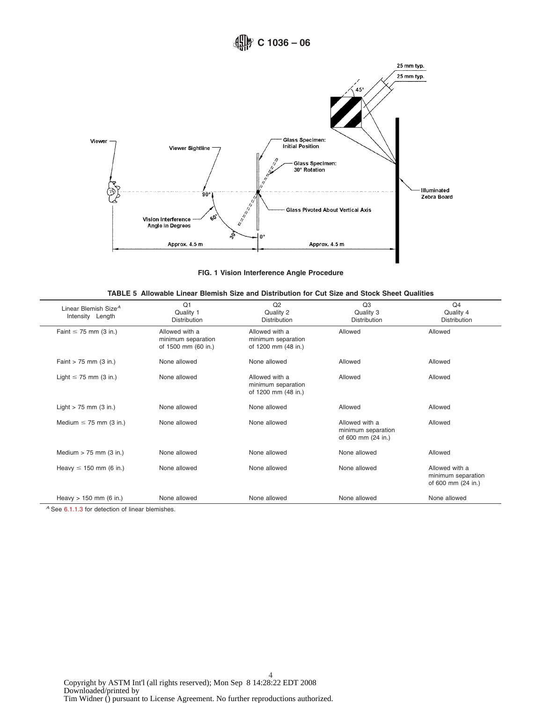

<span id="page-3-1"></span><span id="page-3-0"></span>**FIG. 1 Vision Interference Angle Procedure**

| TABLE 5 Allowable Linear Blemish Size and Distribution for Cut Size and Stock Sheet Qualities |  |  |  |  |
|-----------------------------------------------------------------------------------------------|--|--|--|--|
|-----------------------------------------------------------------------------------------------|--|--|--|--|

| Linear Blemish Size <sup>A</sup><br>Intensity Length | Q <sub>1</sub><br>Quality 1<br>Distribution                 | Q <sub>2</sub><br>Quality 2<br>Distribution                 | Q <sub>3</sub><br>Quality 3<br>Distribution                | Q <sub>4</sub><br>Quality 4<br><b>Distribution</b>         |
|------------------------------------------------------|-------------------------------------------------------------|-------------------------------------------------------------|------------------------------------------------------------|------------------------------------------------------------|
| Faint $\leq$ 75 mm (3 in.)                           | Allowed with a<br>minimum separation<br>of 1500 mm (60 in.) | Allowed with a<br>minimum separation<br>of 1200 mm (48 in.) | Allowed                                                    | Allowed                                                    |
| Faint $> 75$ mm (3 in.)                              | None allowed                                                | None allowed                                                | Allowed                                                    | Allowed                                                    |
| Light $\leq$ 75 mm (3 in.)                           | None allowed                                                | Allowed with a<br>minimum separation<br>of 1200 mm (48 in.) | Allowed                                                    | Allowed                                                    |
| Light $> 75$ mm (3 in.)                              | None allowed                                                | None allowed                                                | Allowed                                                    | Allowed                                                    |
| Medium $\leq$ 75 mm (3 in.)                          | None allowed                                                | None allowed                                                | Allowed with a<br>minimum separation<br>of 600 mm (24 in.) | Allowed                                                    |
| Medium $>$ 75 mm (3 in.)                             | None allowed                                                | None allowed                                                | None allowed                                               | Allowed                                                    |
| Heavy $\leq$ 150 mm (6 in.)                          | None allowed                                                | None allowed                                                | None allowed                                               | Allowed with a<br>minimum separation<br>of 600 mm (24 in.) |
| Heavy $> 150$ mm (6 in.)                             | None allowed                                                | None allowed                                                | None allowed                                               | None allowed                                               |

*<sup>A</sup>* See [6.1.1.3](#page-5-3) for detection of linear blemishes.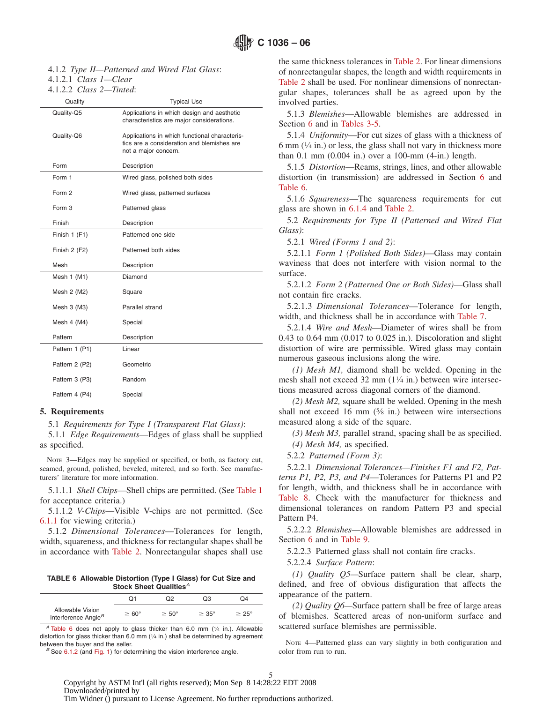4.1.2 *Type II—Patterned and Wired Flat Glass*:

4.1.2.1 *Class 1—Clear*

4.1.2.2 *Class 2—Tinted*:

| Quality        | Typical Use                                                                                                         |
|----------------|---------------------------------------------------------------------------------------------------------------------|
| Quality-Q5     | Applications in which design and aesthetic<br>characteristics are major considerations.                             |
| Quality-Q6     | Applications in which functional characteris-<br>tics are a consideration and blemishes are<br>not a major concern. |
| Form           | Description                                                                                                         |
| Form 1         | Wired glass, polished both sides                                                                                    |
| Form 2         | Wired glass, patterned surfaces                                                                                     |
| Form 3         | Patterned glass                                                                                                     |
| Finish         | Description                                                                                                         |
| Finish 1 (F1)  | Patterned one side                                                                                                  |
| Finish 2 (F2)  | Patterned both sides                                                                                                |
| Mesh           | Description                                                                                                         |
| Mesh $1$ (M1)  | Diamond                                                                                                             |
| Mesh 2 (M2)    | Square                                                                                                              |
| Mesh $3$ (M3)  | Parallel strand                                                                                                     |
| Mesh 4 (M4)    | Special                                                                                                             |
| Pattern        | Description                                                                                                         |
| Pattern 1 (P1) | Linear                                                                                                              |
| Pattern 2 (P2) | Geometric                                                                                                           |
| Pattern 3 (P3) | Random                                                                                                              |
| Pattern 4 (P4) | Special                                                                                                             |

#### **5. Requirements**

5.1 *Requirements for Type I (Transparent Flat Glass)*:

5.1.1 *Edge Requirements*—Edges of glass shall be supplied as specified.

NOTE 3—Edges may be supplied or specified, or both, as factory cut, seamed, ground, polished, beveled, mitered, and so forth. See manufacturers' literature for more information.

5.1.1.1 *Shell Chips*—Shell chips are permitted. (See [Table 1](#page-1-0) for acceptance criteria.)

5.1.1.2 *V-Chips*—Visible V-chips are not permitted. (See [6.1.1](#page-5-4) for viewing criteria.)

5.1.2 *Dimensional Tolerances*—Tolerances for length, width, squareness, and thickness for rectangular shapes shall be in accordance with [Table 2.](#page-1-1) Nonrectangular shapes shall use

**TABLE 6 Allowable Distortion (Type I Glass) for Cut Size and Stock Sheet Qualities***<sup>A</sup>*

|                                                     | Ο1                | Ω2                | OЗ                | Ω4                |
|-----------------------------------------------------|-------------------|-------------------|-------------------|-------------------|
| Allowable Vision<br>Interference Angle <sup>B</sup> | $\geq 60^{\circ}$ | $\geq 50^{\circ}$ | $\geq 35^{\circ}$ | $\geq 25^{\circ}$ |

*<sup>A</sup>* [Table 6](#page-4-0) does not apply to glass thicker than 6.0 mm (1⁄4 in.). Allowable distortion for glass thicker than 6.0 mm (1/4 in.) shall be determined by agreement between the buyer and the seller.<br><sup>*B*</sup> See [6.1.2](#page-5-8) (and [Fig. 1\)](#page-3-0) for determining the vision interference angle.

the same thickness tolerances in [Table 2.](#page-1-1) For linear dimensions of nonrectangular shapes, the length and width requirements in [Table 2](#page-1-1) shall be used. For nonlinear dimensions of nonrectangular shapes, tolerances shall be as agreed upon by the involved parties.

5.1.3 *Blemishes*—Allowable blemishes are addressed in Section [6](#page-5-5) and in [Tables 3-5.](#page-2-0)

5.1.4 *Uniformity*—For cut sizes of glass with a thickness of 6 mm  $(1/4$  in.) or less, the glass shall not vary in thickness more than 0.1 mm (0.004 in.) over a 100-mm (4-in.) length.

5.1.5 *Distortion*—Reams, strings, lines, and other allowable distortion (in transmission) are addressed in Section [6](#page-5-5) and [Table 6.](#page-4-0)

5.1.6 *Squareness*—The squareness requirements for cut glass are shown in [6.1.4](#page-6-1) and [Table 2.](#page-1-1)

5.2 *Requirements for Type II (Patterned and Wired Flat Glass)*:

5.2.1 *Wired (Forms 1 and 2)*:

5.2.1.1 *Form 1 (Polished Both Sides)*—Glass may contain waviness that does not interfere with vision normal to the surface.

5.2.1.2 *Form 2 (Patterned One or Both Sides)*—Glass shall not contain fire cracks.

5.2.1.3 *Dimensional Tolerances*—Tolerance for length, width, and thickness shall be in accordance with [Table 7.](#page-5-6)

5.2.1.4 *Wire and Mesh*—Diameter of wires shall be from 0.43 to 0.64 mm (0.017 to 0.025 in.). Discoloration and slight distortion of wire are permissible. Wired glass may contain numerous gaseous inclusions along the wire.

*(1) Mesh M1,* diamond shall be welded. Opening in the mesh shall not exceed 32 mm  $(1\frac{1}{4}$  in.) between wire intersections measured across diagonal corners of the diamond.

*(2) Mesh M2,* square shall be welded. Opening in the mesh shall not exceed 16 mm  $(5/8 \text{ in.})$  between wire intersections measured along a side of the square.

*(3) Mesh M3,* parallel strand, spacing shall be as specified.

*(4) Mesh M4,* as specified.

5.2.2 *Patterned (Form 3)*:

5.2.2.1 *Dimensional Tolerances—Finishes F1 and F2, Patterns P1, P2, P3, and P4*—Tolerances for Patterns P1 and P2 for length, width, and thickness shall be in accordance with [Table 8.](#page-5-7) Check with the manufacturer for thickness and dimensional tolerances on random Pattern P3 and special Pattern P4.

5.2.2.2 *Blemishes*—Allowable blemishes are addressed in Section [6](#page-5-5) and in [Table 9.](#page-6-2)

5.2.2.3 Patterned glass shall not contain fire cracks.

<span id="page-4-0"></span>5.2.2.4 *Surface Pattern*:

*(1) Quality Q5—*Surface pattern shall be clear, sharp, defined, and free of obvious disfiguration that affects the appearance of the pattern.

*(2) Quality Q6—*Surface pattern shall be free of large areas of blemishes. Scattered areas of non-uniform surface and scattered surface blemishes are permissible.

NOTE 4—Patterned glass can vary slightly in both configuration and color from run to run.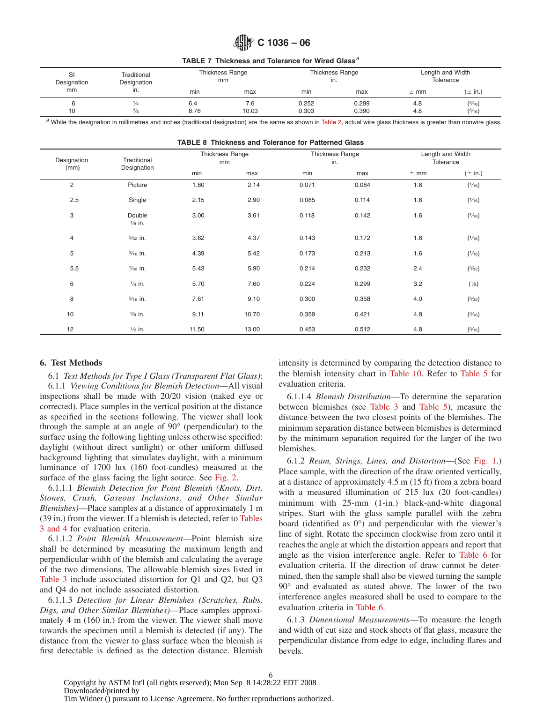<span id="page-5-6"></span>**TABLE 7 Thickness and Tolerance for Wired Glass***<sup>A</sup>*

| SI<br>Traditional<br>Designation<br>Designation<br>mm<br>ın. |                     |             | Thickness Range<br>mm |                | <b>Thickness Range</b><br>ın. | Length and Width<br>Tolerance |                  |
|--------------------------------------------------------------|---------------------|-------------|-----------------------|----------------|-------------------------------|-------------------------------|------------------|
|                                                              |                     | min         | max                   | min            | max                           | $±$ mm                        | $(\pm$ in.)      |
| 10                                                           | 74<br>$\frac{3}{8}$ | 6.4<br>8.76 | 7.6<br>10.03          | 0.252<br>0.303 | 0.299<br>0.390                | 4.8<br>4.8                    | (3/16)<br>(3/16) |

*<sup>A</sup>* While the designation in millimetres and inches (traditional designation) are the same as shown in [Table 2,](#page-1-1) actual wire glass thickness is greater than nonwire glass.

**TABLE 8 Thickness and Tolerance for Patterned Glass**

| Designation<br>(mm) | Traditional<br>Designation  | <b>Thickness Range</b><br>mm |       | in.   | Thickness Range | Length and Width<br>Tolerance |             |  |
|---------------------|-----------------------------|------------------------------|-------|-------|-----------------|-------------------------------|-------------|--|
|                     |                             | min                          | max   | min   | max             | $±$ mm                        | $(\pm$ in.) |  |
| $\overline{2}$      | Picture                     | 1.80                         | 2.14  | 0.071 | 0.084           | 1.6                           | (1/16)      |  |
| 2.5                 | Single                      | 2.15                         | 2.90  | 0.085 | 0.114           | 1.6                           | (1/16)      |  |
| 3                   | Double<br>$\frac{1}{8}$ in. | 3.00                         | 3.61  | 0.118 | 0.142           | 1.6                           | (1/16)      |  |
| 4                   | $\frac{5}{32}$ in.          | 3.62                         | 4.37  | 0.143 | 0.172           | 1.6                           | (1/16)      |  |
| 5                   | $\frac{3}{16}$ in.          | 4.39                         | 5.42  | 0.173 | 0.213           | 1.6                           | (1/16)      |  |
| 5.5                 | $\frac{7}{32}$ in.          | 5.43                         | 5.90  | 0.214 | 0.232           | 2.4                           | (3/32)      |  |
| 6                   | $\frac{1}{4}$ in.           | 5.70                         | 7.60  | 0.224 | 0.299           | 3.2                           | (1/8)       |  |
| 8                   | $\frac{5}{16}$ in.          | 7.61                         | 9.10  | 0.300 | 0.358           | 4.0                           | (5/32)      |  |
| 10                  | $\frac{3}{8}$ in.           | 9.11                         | 10.70 | 0.359 | 0.421           | 4.8                           | (3/16)      |  |
| 12                  | $\frac{1}{2}$ in.           | 11.50                        | 13.00 | 0.453 | 0.512           | 4.8                           | (3/16)      |  |

# **6. Test Methods**

6.1 *Test Methods for Type I Glass (Transparent Flat Glass)*: 6.1.1 *Viewing Conditions for Blemish Detection*—All visual inspections shall be made with 20/20 vision (naked eye or corrected). Place samples in the vertical position at the distance as specified in the sections following. The viewer shall look through the sample at an angle of 90° (perpendicular) to the surface using the following lighting unless otherwise specified: daylight (without direct sunlight) or other uniform diffused background lighting that simulates daylight, with a minimum luminance of 1700 lux (160 foot-candles) measured at the surface of the glass facing the light source. See [Fig. 2.](#page-7-0)

6.1.1.1 *Blemish Detection for Point Blemish (Knots, Dirt, Stones, Crush, Gaseous Inclusions, and Other Similar Blemishes)*—Place samples at a distance of approximately 1 m (39 in.) from the viewer. If a blemish is detected, refer to [Tables](#page-2-0) [3 and 4](#page-2-0) for evaluation criteria.

6.1.1.2 *Point Blemish Measurement*—Point blemish size shall be determined by measuring the maximum length and perpendicular width of the blemish and calculating the average of the two dimensions. The allowable blemish sizes listed in [Table 3](#page-2-0) include associated distortion for Q1 and Q2, but Q3 and Q4 do not include associated distortion.

6.1.1.3 *Detection for Linear Blemishes (Scratches, Rubs, Digs, and Other Similar Blemishes)*—Place samples approximately 4 m (160 in.) from the viewer. The viewer shall move towards the specimen until a blemish is detected (if any). The distance from the viewer to glass surface when the blemish is first detectable is defined as the detection distance. Blemish

<span id="page-5-7"></span><span id="page-5-5"></span>intensity is determined by comparing the detection distance to the blemish intensity chart in [Table 10.](#page-6-3) Refer to [Table 5](#page-3-1) for evaluation criteria.

<span id="page-5-4"></span><span id="page-5-2"></span>6.1.1.4 *Blemish Distribution*—To determine the separation between blemishes (see [Table 3](#page-2-0) and [Table 5\)](#page-3-1), measure the distance between the two closest points of the blemishes. The minimum separation distance between blemishes is determined by the minimum separation required for the larger of the two blemishes.

<span id="page-5-8"></span><span id="page-5-1"></span><span id="page-5-0"></span>6.1.2 *Ream, Strings, Lines, and Distortion*—(See [Fig. 1.](#page-3-0)) Place sample, with the direction of the draw oriented vertically, at a distance of approximately 4.5 m (15 ft) from a zebra board with a measured illumination of 215 lux (20 foot-candles) minimum with 25-mm (1-in.) black-and-white diagonal stripes. Start with the glass sample parallel with the zebra board (identified as 0°) and perpendicular with the viewer's line of sight. Rotate the specimen clockwise from zero until it reaches the angle at which the distortion appears and report that angle as the vision interference angle. Refer to [Table 6](#page-4-0) for evaluation criteria. If the direction of draw cannot be determined, then the sample shall also be viewed turning the sample 90° and evaluated as stated above. The lower of the two interference angles measured shall be used to compare to the evaluation criteria in [Table 6.](#page-4-0)

<span id="page-5-3"></span>6.1.3 *Dimensional Measurements*—To measure the length and width of cut size and stock sheets of flat glass, measure the perpendicular distance from edge to edge, including flares and bevels.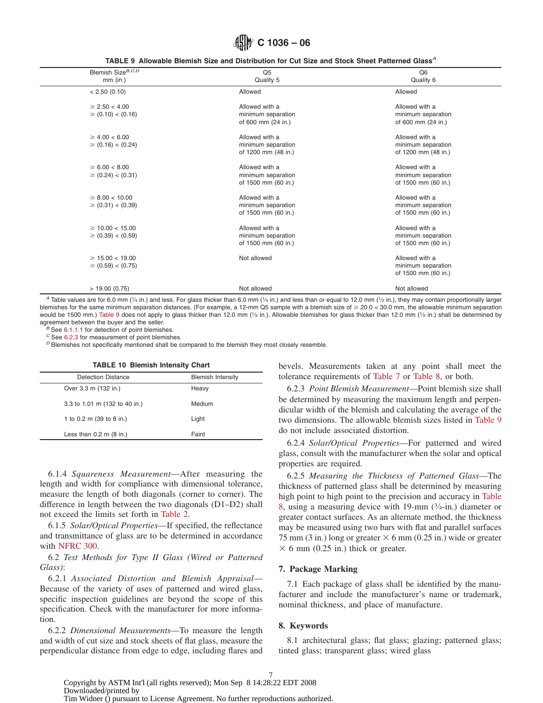<span id="page-6-2"></span>**C 1036 – 06**

**TABLE 9 Allowable Blemish Size and Distribution for Cut Size and Stock Sheet Patterned Glass***<sup>A</sup>*

| Blemish Size <sup>B,C,D</sup><br>$mm$ (in.)    | Q <sub>5</sub><br>Quality 5                                 | Q <sub>6</sub><br>Quality 6                                 |
|------------------------------------------------|-------------------------------------------------------------|-------------------------------------------------------------|
| < 2.50(0.10)                                   | Allowed                                                     | Allowed                                                     |
| $\geq$ 2.50 < 4.00<br>$\geq$ (0.10) < (0.16)   | Allowed with a<br>minimum separation<br>of 600 mm (24 in.)  | Allowed with a<br>minimum separation<br>of 600 mm (24 in.)  |
| $\geq 4.00 < 6.00$<br>$\geq$ (0.16) < (0.24)   | Allowed with a<br>minimum separation<br>of 1200 mm (48 in.) | Allowed with a<br>minimum separation<br>of 1200 mm (48 in.) |
| $\geq 6.00 < 8.00$<br>$\geq$ (0.24) < (0.31)   | Allowed with a<br>minimum separation<br>of 1500 mm (60 in.) | Allowed with a<br>minimum separation<br>of 1500 mm (60 in.) |
| $\geq 8.00 < 10.00$<br>$\geq$ (0.31) < (0.39)  | Allowed with a<br>minimum separation<br>of 1500 mm (60 in.) | Allowed with a<br>minimum separation<br>of 1500 mm (60 in.) |
| $\geq$ 10.00 < 15.00<br>$\geq$ (0.39) < (0.59) | Allowed with a<br>minimum separation<br>of 1500 mm (60 in.) | Allowed with a<br>minimum separation<br>of 1500 mm (60 in.) |
| $\geq$ 15.00 < 19.00<br>$\geq$ (0.59) < (0.75) | Not allowed                                                 | Allowed with a<br>minimum separation<br>of 1500 mm (60 in.) |
| > 19.00(0.75)                                  | Not allowed                                                 | Not allowed                                                 |

*A* Table values are for 6.0 mm (1/4 in.) and less. For glass thicker than 6.0 mm (1/4 in.) and less than or equal to 12.0 mm (1/2 in.), they may contain proportionally larger blemishes for the same minimum separation distances. (For example, a 12-mm Q5 sample with a blemish size of  $\geq 20.0 < 30.0$  mm, the allowable minimum separation would be 1500 mm.) [Table 9](#page-6-2) does not apply to glass thicker than 12.0 mm (1/2 in.). Allowable blemishes for glass thicker than 12.0 mm (1/2 in.) shall be determined by agreement between the buyer and the seller.<br>
<sup>B</sup> See [6.1.1.1](#page-5-0) for detection of point blemishes.<br>
<sup>C</sup> See [6.2.3](#page-6-4) for measurement of point blemishes.<br>
<sup>C</sup> Blemishes not specifically mentioned shall be compared to the blemish t

### **TABLE 10 Blemish Intensity Chart**

| <b>Detection Distance</b>     | <b>Blemish Intensity</b> |
|-------------------------------|--------------------------|
| Over 3.3 m (132 in.)          | Heavy                    |
| 3.3 to 1.01 m (132 to 40 in.) | Medium                   |
| 1 to 0.2 m (39 to 8 in.)      | Light                    |
| Less than $0.2$ m $(8$ in.)   | Faint                    |

6.1.4 *Squareness Measurement*—After measuring the length and width for compliance with dimensional tolerance, measure the length of both diagonals (corner to corner). The difference in length between the two diagonals (D1–D2) shall not exceed the limits set forth in [Table 2.](#page-1-1)

6.1.5 *Solar/Optical Properties*—If specified, the reflectance and transmittance of glass are to be determined in accordance with [NFRC 300.](#page-0-2)

# 6.2 *Test Methods for Type II Glass (Wired or Patterned Glass)*:

6.2.1 *Associated Distortion and Blemish Appraisal*— Because of the variety of uses of patterned and wired glass, specific inspection guidelines are beyond the scope of this specification. Check with the manufacturer for more information.

6.2.2 *Dimensional Measurements*—To measure the length and width of cut size and stock sheets of flat glass, measure the perpendicular distance from edge to edge, including flares and

<span id="page-6-3"></span>bevels. Measurements taken at any point shall meet the tolerance requirements of [Table 7](#page-5-6) or [Table 8,](#page-5-7) or both.

<span id="page-6-4"></span>6.2.3 *Point Blemish Measurement*—Point blemish size shall be determined by measuring the maximum length and perpendicular width of the blemish and calculating the average of the two dimensions. The allowable blemish sizes listed in [Table 9](#page-6-2) do not include associated distortion.

<span id="page-6-1"></span>6.2.4 *Solar/Optical Properties*—For patterned and wired glass, consult with the manufacturer when the solar and optical properties are required.

6.2.5 *Measuring the Thickness of Patterned Glass*—The thickness of patterned glass shall be determined by measuring high point to high point to the precision and accuracy in [Table](#page-5-7) [8,](#page-5-7) using a measuring device with 19-mm (3⁄4-in.) diameter or greater contact surfaces. As an alternate method, the thickness may be measured using two bars with flat and parallel surfaces 75 mm (3 in.) long or greater  $\times$  6 mm (0.25 in.) wide or greater  $\times$  6 mm (0.25 in.) thick or greater.

### <span id="page-6-0"></span>**7. Package Marking**

7.1 Each package of glass shall be identified by the manufacturer and include the manufacturer's name or trademark, nominal thickness, and place of manufacture.

# **8. Keywords**

8.1 architectural glass; flat glass; glazing; patterned glass; tinted glass; transparent glass; wired glass